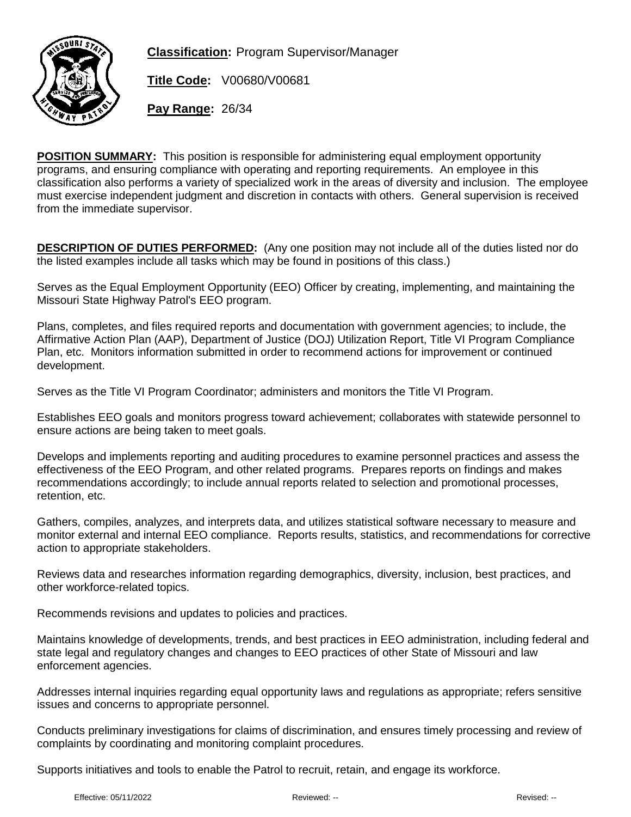

**Classification:** Program Supervisor/Manager

**Title Code:** V00680/V00681

**Pay Range:** 26/34

**POSITION SUMMARY:** This position is responsible for administering equal employment opportunity programs, and ensuring compliance with operating and reporting requirements. An employee in this classification also performs a variety of specialized work in the areas of diversity and inclusion. The employee must exercise independent judgment and discretion in contacts with others. General supervision is received from the immediate supervisor.

**DESCRIPTION OF DUTIES PERFORMED:** (Any one position may not include all of the duties listed nor do the listed examples include all tasks which may be found in positions of this class.)

Serves as the Equal Employment Opportunity (EEO) Officer by creating, implementing, and maintaining the Missouri State Highway Patrol's EEO program.

Plans, completes, and files required reports and documentation with government agencies; to include, the Affirmative Action Plan (AAP), Department of Justice (DOJ) Utilization Report, Title VI Program Compliance Plan, etc. Monitors information submitted in order to recommend actions for improvement or continued development.

Serves as the Title VI Program Coordinator; administers and monitors the Title VI Program.

Establishes EEO goals and monitors progress toward achievement; collaborates with statewide personnel to ensure actions are being taken to meet goals.

Develops and implements reporting and auditing procedures to examine personnel practices and assess the effectiveness of the EEO Program, and other related programs. Prepares reports on findings and makes recommendations accordingly; to include annual reports related to selection and promotional processes, retention, etc.

Gathers, compiles, analyzes, and interprets data, and utilizes statistical software necessary to measure and monitor external and internal EEO compliance. Reports results, statistics, and recommendations for corrective action to appropriate stakeholders.

Reviews data and researches information regarding demographics, diversity, inclusion, best practices, and other workforce-related topics.

Recommends revisions and updates to policies and practices.

Maintains knowledge of developments, trends, and best practices in EEO administration, including federal and state legal and regulatory changes and changes to EEO practices of other State of Missouri and law enforcement agencies.

Addresses internal inquiries regarding equal opportunity laws and regulations as appropriate; refers sensitive issues and concerns to appropriate personnel.

Conducts preliminary investigations for claims of discrimination, and ensures timely processing and review of complaints by coordinating and monitoring complaint procedures.

Supports initiatives and tools to enable the Patrol to recruit, retain, and engage its workforce.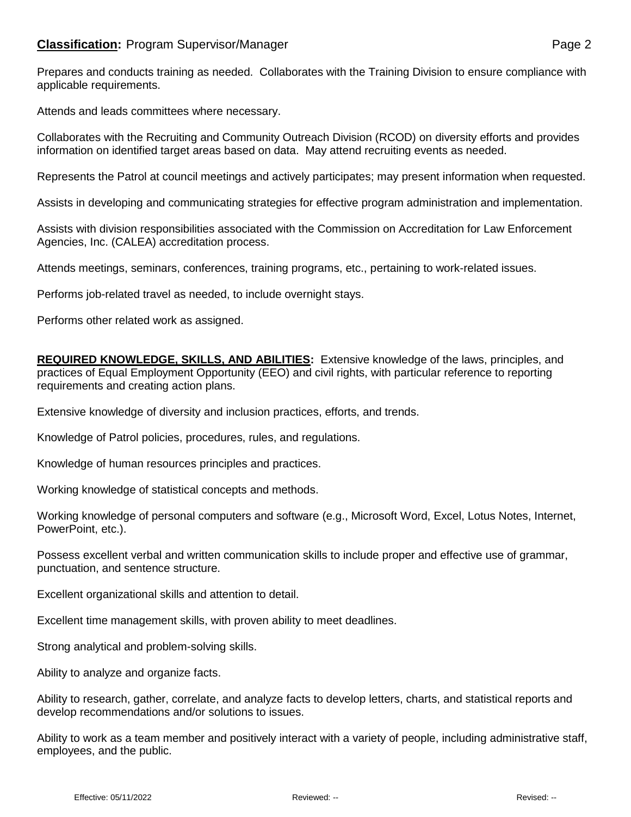Prepares and conducts training as needed. Collaborates with the Training Division to ensure compliance with applicable requirements.

Attends and leads committees where necessary.

Collaborates with the Recruiting and Community Outreach Division (RCOD) on diversity efforts and provides information on identified target areas based on data. May attend recruiting events as needed.

Represents the Patrol at council meetings and actively participates; may present information when requested.

Assists in developing and communicating strategies for effective program administration and implementation.

Assists with division responsibilities associated with the Commission on Accreditation for Law Enforcement Agencies, Inc. (CALEA) accreditation process.

Attends meetings, seminars, conferences, training programs, etc., pertaining to work-related issues.

Performs job-related travel as needed, to include overnight stays.

Performs other related work as assigned.

**REQUIRED KNOWLEDGE, SKILLS, AND ABILITIES:** Extensive knowledge of the laws, principles, and practices of Equal Employment Opportunity (EEO) and civil rights, with particular reference to reporting requirements and creating action plans.

Extensive knowledge of diversity and inclusion practices, efforts, and trends.

Knowledge of Patrol policies, procedures, rules, and regulations.

Knowledge of human resources principles and practices.

Working knowledge of statistical concepts and methods.

Working knowledge of personal computers and software (e.g., Microsoft Word, Excel, Lotus Notes, Internet, PowerPoint, etc.).

Possess excellent verbal and written communication skills to include proper and effective use of grammar, punctuation, and sentence structure.

Excellent organizational skills and attention to detail.

Excellent time management skills, with proven ability to meet deadlines.

Strong analytical and problem-solving skills.

Ability to analyze and organize facts.

Ability to research, gather, correlate, and analyze facts to develop letters, charts, and statistical reports and develop recommendations and/or solutions to issues.

Ability to work as a team member and positively interact with a variety of people, including administrative staff, employees, and the public.